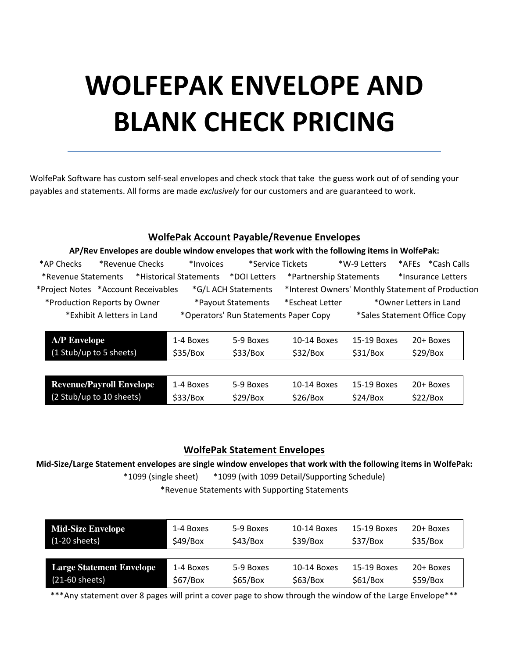# **WOLFEPAK ENVELOPE AND BLANK CHECK PRICING**

WolfePak Software has custom self-seal envelopes and check stock that take the guess work out of of sending your payables and statements. All forms are made *exclusively* for our customers and are guaranteed to work.

## **WolfePak Account Payable/Revenue Envelopes**

| AP/Rev Envelopes are double window envelopes that work with the following items in WolfePak: |           |                                       |                         |              |                                                   |  |  |  |
|----------------------------------------------------------------------------------------------|-----------|---------------------------------------|-------------------------|--------------|---------------------------------------------------|--|--|--|
| *Revenue Checks<br>*AP Checks                                                                | *Invoices | *Service Tickets                      |                         | *W-9 Letters | *AFEs *Cash Calls                                 |  |  |  |
| *Revenue Statements                                                                          |           |                                       | *Partnership Statements |              | *Insurance Letters                                |  |  |  |
| *Project Notes *Account Receivables                                                          |           | *G/L ACH Statements                   |                         |              | *Interest Owners' Monthly Statement of Production |  |  |  |
| *Production Reports by Owner                                                                 |           | *Payout Statements                    | *Escheat Letter         |              | *Owner Letters in Land                            |  |  |  |
| *Exhibit A letters in Land                                                                   |           | *Operators' Run Statements Paper Copy |                         |              | *Sales Statement Office Copy                      |  |  |  |
|                                                                                              |           |                                       |                         |              |                                                   |  |  |  |
| <b>A/P Envelope</b>                                                                          | 1-4 Boxes | 5-9 Boxes                             | 10-14 Boxes             | 15-19 Boxes  | $20+$ Boxes                                       |  |  |  |
| (1 Stub/up to 5 sheets)                                                                      | \$35/Box  | \$33/Box                              | \$32/Box                | \$31/Box     | \$29/Box                                          |  |  |  |
|                                                                                              |           |                                       |                         |              |                                                   |  |  |  |
| <b>Revenue/Payroll Envelope</b>                                                              | 1-4 Boxes | 5-9 Boxes                             | 10-14 Boxes             | 15-19 Boxes  | 20+ Boxes                                         |  |  |  |
| (2 Stub/up to 10 sheets)                                                                     | \$33/Box  | \$29/Box                              | \$26/Box                | \$24/Box     | \$22/Box                                          |  |  |  |

## **WolfePak Statement Envelopes**

**Mid-Size/Large Statement envelopes are single window envelopes that work with the following items in WolfePak:**  \*1099 (single sheet) \*1099 (with 1099 Detail/Supporting Schedule)

\*Revenue Statements with Supporting Statements

| <b>Mid-Size Envelope</b>        | 1-4 Boxes | 5-9 Boxes | 10-14 Boxes | 15-19 Boxes | 20+ Boxes |
|---------------------------------|-----------|-----------|-------------|-------------|-----------|
| $(1-20$ sheets)                 | \$49/Box  | \$43/Box  | \$39/Box    | \$37/Box    | \$35/Box  |
| <b>Large Statement Envelope</b> | 1-4 Boxes | 5-9 Boxes | 10-14 Boxes | 15-19 Boxes | 20+ Boxes |
| $(21-60$ sheets)                | \$67/Box  | \$65/Box  | \$63/Box    | \$61/Box    | \$59/Box  |

\*\*\*Any statement over 8 pages will print a cover page to show through the window of the Large Envelope\*\*\*